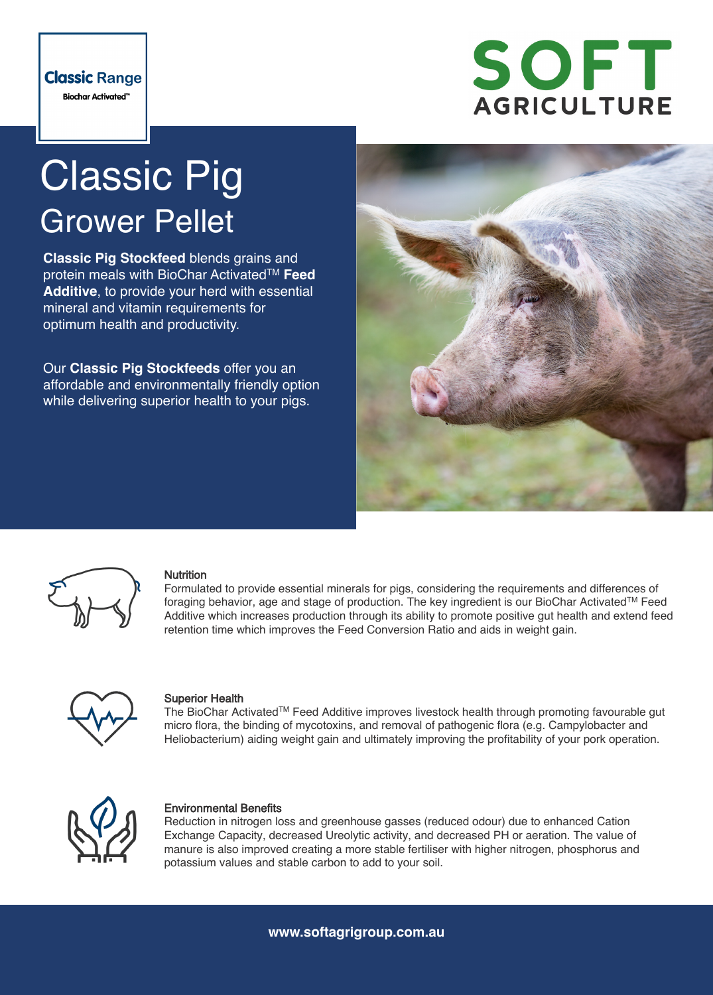

# Classic Pig Grower Pellet

**Classic Pig Stockfeed** blends grains and protein meals with BioChar ActivatedTM **Feed Additive**, to provide your herd with essential mineral and vitamin requirements for optimum health and productivity.

Our **Classic Pig Stockfeeds** offer you an affordable and environmentally friendly option while delivering superior health to your pigs.





# **Nutrition**

Formulated to provide essential minerals for pigs, considering the requirements and differences of foraging behavior, age and stage of production. The key ingredient is our BioChar ActivatedTM Feed Additive which increases production through its ability to promote positive gut health and extend feed retention time which improves the Feed Conversion Ratio and aids in weight gain.



# Superior Health

The BioChar ActivatedTM Feed Additive improves livestock health through promoting favourable gut micro flora, the binding of mycotoxins, and removal of pathogenic flora (e.g. Campylobacter and Heliobacterium) aiding weight gain and ultimately improving the profitability of your pork operation.



# Environmental Benefits

Reduction in nitrogen loss and greenhouse gasses (reduced odour) due to enhanced Cation Exchange Capacity, decreased Ureolytic activity, and decreased PH or aeration. The value of manure is also improved creating a more stable fertiliser with higher nitrogen, phosphorus and potassium values and stable carbon to add to your soil.